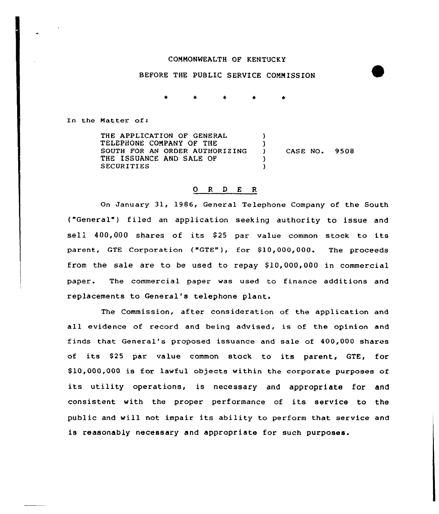## CONMONWEALTH OF KENTUCKY

## BEFORE THE PUBLIC SERVICE CONN ISSION

In the Matter of:

THE APPLICATION OF GENERAL TELEPHONE COMPANY OF THE SOUTH FOR AN ORDER AUTHORIZING THE ISSUANCE AND SALE OF SECURITIES ) )<br>) CASE NO. 9508 ) )

## 0 R <sup>D</sup> E R

On January 31, 1986, General Telephone Company of the South ("General") filed an application seeking authority to issue and sell. 400,000 shares of its \$<sup>25</sup> par value common stock to its parent, GTE Corporation ("GTE"), for \$10,000,000. The proceeds from the sale are to be used to repay  $$10,000,000$  in commercial paper. The commercial paper was used to finance additions and replacements to General's telephone plant.

The Commission, after consideration of the application and all evidence of record and being advised, is of the opinion and finds that General's proposed issuance and sale of 400,000 shares of its \$25 par value common stock to its parent, GTE, for \$ 10,000,000 is for lawful objects within the corporate purposes of its utility operations, is necessary and appropriate for and consistent with the proper performance of its service to the public and will not impair its ability to perform that service and is reasonably necessary and appropriate for such purposes.